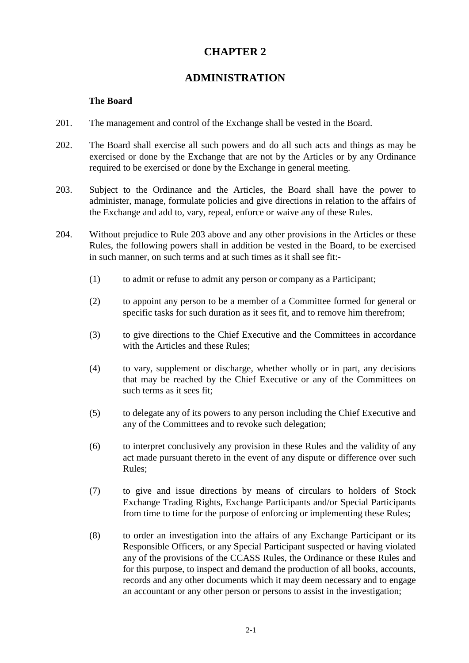# **CHAPTER 2**

## **ADMINISTRATION**

#### **The Board**

- 201. The management and control of the Exchange shall be vested in the Board.
- 202. The Board shall exercise all such powers and do all such acts and things as may be exercised or done by the Exchange that are not by the Articles or by any Ordinance required to be exercised or done by the Exchange in general meeting.
- 203. Subject to the Ordinance and the Articles, the Board shall have the power to administer, manage, formulate policies and give directions in relation to the affairs of the Exchange and add to, vary, repeal, enforce or waive any of these Rules.
- 204. Without prejudice to Rule 203 above and any other provisions in the Articles or these Rules, the following powers shall in addition be vested in the Board, to be exercised in such manner, on such terms and at such times as it shall see fit:-
	- (1) to admit or refuse to admit any person or company as a Participant;
	- (2) to appoint any person to be a member of a Committee formed for general or specific tasks for such duration as it sees fit, and to remove him therefrom;
	- (3) to give directions to the Chief Executive and the Committees in accordance with the Articles and these Rules;
	- (4) to vary, supplement or discharge, whether wholly or in part, any decisions that may be reached by the Chief Executive or any of the Committees on such terms as it sees fit;
	- (5) to delegate any of its powers to any person including the Chief Executive and any of the Committees and to revoke such delegation;
	- (6) to interpret conclusively any provision in these Rules and the validity of any act made pursuant thereto in the event of any dispute or difference over such Rules;
	- (7) to give and issue directions by means of circulars to holders of Stock Exchange Trading Rights, Exchange Participants and/or Special Participants from time to time for the purpose of enforcing or implementing these Rules;
	- (8) to order an investigation into the affairs of any Exchange Participant or its Responsible Officers, or any Special Participant suspected or having violated any of the provisions of the CCASS Rules, the Ordinance or these Rules and for this purpose, to inspect and demand the production of all books, accounts, records and any other documents which it may deem necessary and to engage an accountant or any other person or persons to assist in the investigation;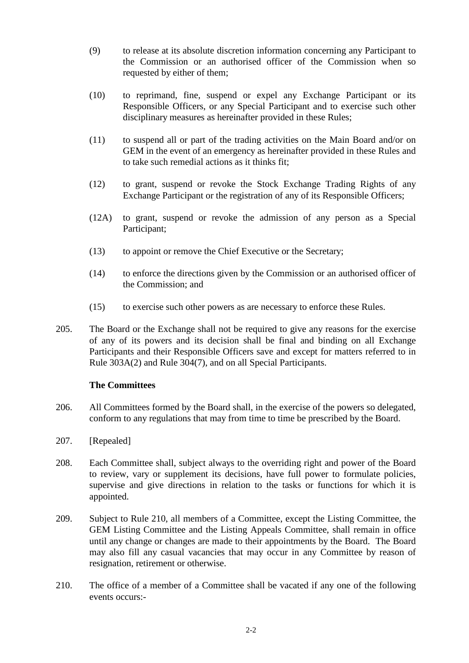- (9) to release at its absolute discretion information concerning any Participant to the Commission or an authorised officer of the Commission when so requested by either of them;
- (10) to reprimand, fine, suspend or expel any Exchange Participant or its Responsible Officers, or any Special Participant and to exercise such other disciplinary measures as hereinafter provided in these Rules;
- (11) to suspend all or part of the trading activities on the Main Board and/or on GEM in the event of an emergency as hereinafter provided in these Rules and to take such remedial actions as it thinks fit;
- (12) to grant, suspend or revoke the Stock Exchange Trading Rights of any Exchange Participant or the registration of any of its Responsible Officers;
- (12A) to grant, suspend or revoke the admission of any person as a Special Participant;
- (13) to appoint or remove the Chief Executive or the Secretary;
- (14) to enforce the directions given by the Commission or an authorised officer of the Commission; and
- (15) to exercise such other powers as are necessary to enforce these Rules.
- 205. The Board or the Exchange shall not be required to give any reasons for the exercise of any of its powers and its decision shall be final and binding on all Exchange Participants and their Responsible Officers save and except for matters referred to in Rule 303A(2) and Rule 304(7), and on all Special Participants.

### **The Committees**

- 206. All Committees formed by the Board shall, in the exercise of the powers so delegated, conform to any regulations that may from time to time be prescribed by the Board.
- 207. [Repealed]
- 208. Each Committee shall, subject always to the overriding right and power of the Board to review, vary or supplement its decisions, have full power to formulate policies, supervise and give directions in relation to the tasks or functions for which it is appointed.
- 209. Subject to Rule 210, all members of a Committee, except the Listing Committee, the GEM Listing Committee and the Listing Appeals Committee, shall remain in office until any change or changes are made to their appointments by the Board. The Board may also fill any casual vacancies that may occur in any Committee by reason of resignation, retirement or otherwise.
- 210. The office of a member of a Committee shall be vacated if any one of the following events occurs:-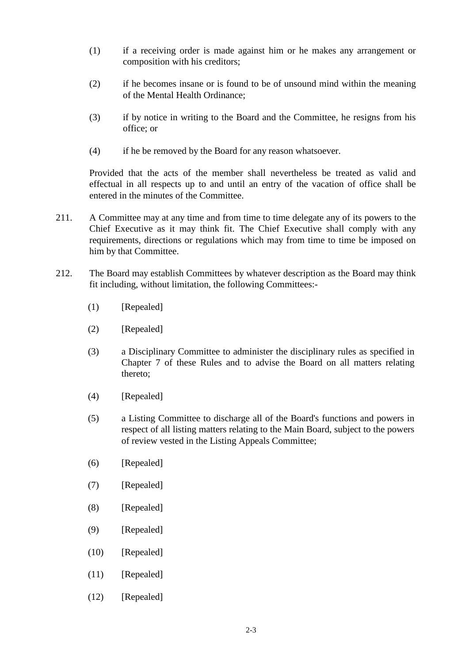- (1) if a receiving order is made against him or he makes any arrangement or composition with his creditors;
- (2) if he becomes insane or is found to be of unsound mind within the meaning of the Mental Health Ordinance;
- (3) if by notice in writing to the Board and the Committee, he resigns from his office; or
- (4) if he be removed by the Board for any reason whatsoever.

Provided that the acts of the member shall nevertheless be treated as valid and effectual in all respects up to and until an entry of the vacation of office shall be entered in the minutes of the Committee.

- 211. A Committee may at any time and from time to time delegate any of its powers to the Chief Executive as it may think fit. The Chief Executive shall comply with any requirements, directions or regulations which may from time to time be imposed on him by that Committee.
- 212. The Board may establish Committees by whatever description as the Board may think fit including, without limitation, the following Committees:-
	- (1) [Repealed]
	- (2) [Repealed]
	- (3) a Disciplinary Committee to administer the disciplinary rules as specified in Chapter 7 of these Rules and to advise the Board on all matters relating thereto;
	- (4) [Repealed]
	- (5) a Listing Committee to discharge all of the Board's functions and powers in respect of all listing matters relating to the Main Board, subject to the powers of review vested in the Listing Appeals Committee;
	- (6) [Repealed]
	- (7) [Repealed]
	- (8) [Repealed]
	- (9) [Repealed]
	- (10) [Repealed]
	- $(11)$  [Repealed]
	- (12) [Repealed]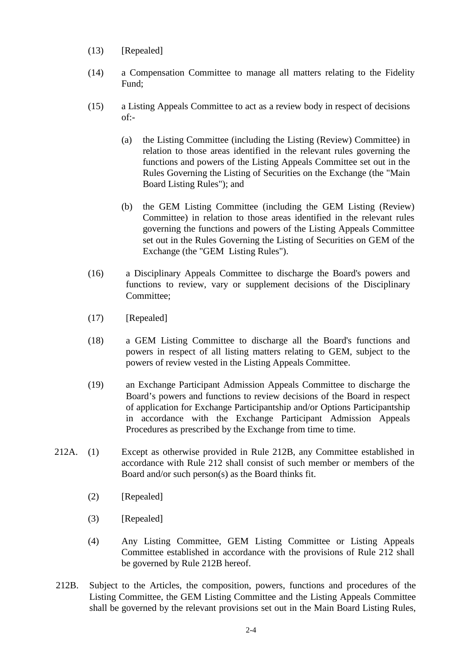- (13) [Repealed]
- (14) a Compensation Committee to manage all matters relating to the Fidelity Fund;
- (15) a Listing Appeals Committee to act as a review body in respect of decisions of:-
	- (a) the Listing Committee (including the Listing (Review) Committee) in relation to those areas identified in the relevant rules governing the functions and powers of the Listing Appeals Committee set out in the Rules Governing the Listing of Securities on the Exchange (the "Main Board Listing Rules"); and
	- (b) the GEM Listing Committee (including the GEM Listing (Review) Committee) in relation to those areas identified in the relevant rules governing the functions and powers of the Listing Appeals Committee set out in the Rules Governing the Listing of Securities on GEM of the Exchange (the "GEM Listing Rules").
- (16) a Disciplinary Appeals Committee to discharge the Board's powers and functions to review, vary or supplement decisions of the Disciplinary Committee;
- (17) [Repealed]
- (18) a GEM Listing Committee to discharge all the Board's functions and powers in respect of all listing matters relating to GEM, subject to the powers of review vested in the Listing Appeals Committee.
- (19) an Exchange Participant Admission Appeals Committee to discharge the Board's powers and functions to review decisions of the Board in respect of application for Exchange Participantship and/or Options Participantship in accordance with the Exchange Participant Admission Appeals Procedures as prescribed by the Exchange from time to time.
- 212A. (1) Except as otherwise provided in Rule 212B, any Committee established in accordance with Rule 212 shall consist of such member or members of the Board and/or such person(s) as the Board thinks fit.
	- (2) [Repealed]
	- (3) [Repealed]
	- (4) Any Listing Committee, GEM Listing Committee or Listing Appeals Committee established in accordance with the provisions of Rule 212 shall be governed by Rule 212B hereof.
- 212B. Subject to the Articles, the composition, powers, functions and procedures of the Listing Committee, the GEM Listing Committee and the Listing Appeals Committee shall be governed by the relevant provisions set out in the Main Board Listing Rules,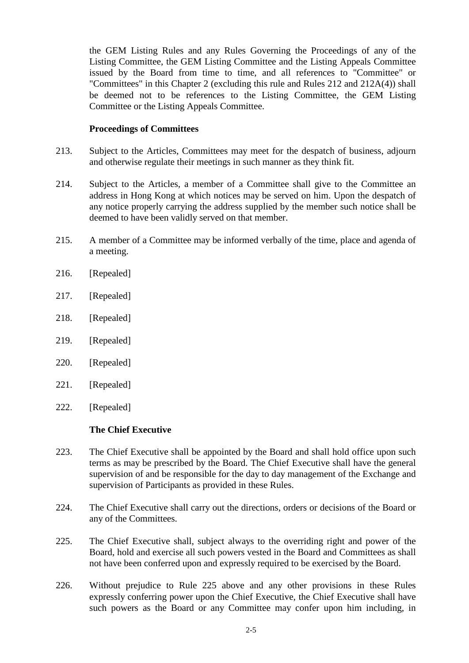the GEM Listing Rules and any Rules Governing the Proceedings of any of the Listing Committee, the GEM Listing Committee and the Listing Appeals Committee issued by the Board from time to time, and all references to "Committee" or "Committees" in this Chapter 2 (excluding this rule and Rules 212 and 212A(4)) shall be deemed not to be references to the Listing Committee, the GEM Listing Committee or the Listing Appeals Committee.

#### **Proceedings of Committees**

- 213. Subject to the Articles, Committees may meet for the despatch of business, adjourn and otherwise regulate their meetings in such manner as they think fit.
- 214. Subject to the Articles, a member of a Committee shall give to the Committee an address in Hong Kong at which notices may be served on him. Upon the despatch of any notice properly carrying the address supplied by the member such notice shall be deemed to have been validly served on that member.
- 215. A member of a Committee may be informed verbally of the time, place and agenda of a meeting.
- 216. [Repealed]
- 217. [Repealed]
- 218. [Repealed]
- 219. [Repealed]
- 220. [Repealed]
- 221. [Repealed]
- 222. [Repealed]

#### **The Chief Executive**

- 223. The Chief Executive shall be appointed by the Board and shall hold office upon such terms as may be prescribed by the Board. The Chief Executive shall have the general supervision of and be responsible for the day to day management of the Exchange and supervision of Participants as provided in these Rules.
- 224. The Chief Executive shall carry out the directions, orders or decisions of the Board or any of the Committees.
- 225. The Chief Executive shall, subject always to the overriding right and power of the Board, hold and exercise all such powers vested in the Board and Committees as shall not have been conferred upon and expressly required to be exercised by the Board.
- 226. Without prejudice to Rule 225 above and any other provisions in these Rules expressly conferring power upon the Chief Executive, the Chief Executive shall have such powers as the Board or any Committee may confer upon him including, in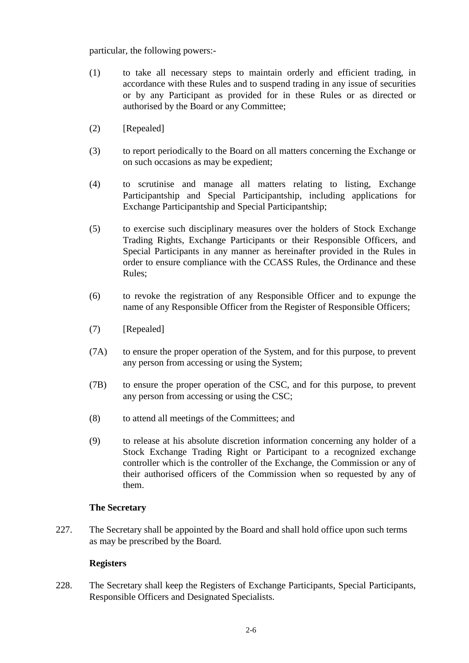particular, the following powers:-

- (1) to take all necessary steps to maintain orderly and efficient trading, in accordance with these Rules and to suspend trading in any issue of securities or by any Participant as provided for in these Rules or as directed or authorised by the Board or any Committee;
- (2) [Repealed]
- (3) to report periodically to the Board on all matters concerning the Exchange or on such occasions as may be expedient;
- (4) to scrutinise and manage all matters relating to listing, Exchange Participantship and Special Participantship, including applications for Exchange Participantship and Special Participantship;
- (5) to exercise such disciplinary measures over the holders of Stock Exchange Trading Rights, Exchange Participants or their Responsible Officers, and Special Participants in any manner as hereinafter provided in the Rules in order to ensure compliance with the CCASS Rules, the Ordinance and these Rules;
- (6) to revoke the registration of any Responsible Officer and to expunge the name of any Responsible Officer from the Register of Responsible Officers;
- (7) [Repealed]
- (7A) to ensure the proper operation of the System, and for this purpose, to prevent any person from accessing or using the System;
- (7B) to ensure the proper operation of the CSC, and for this purpose, to prevent any person from accessing or using the CSC;
- (8) to attend all meetings of the Committees; and
- (9) to release at his absolute discretion information concerning any holder of a Stock Exchange Trading Right or Participant to a recognized exchange controller which is the controller of the Exchange, the Commission or any of their authorised officers of the Commission when so requested by any of them.

### **The Secretary**

227. The Secretary shall be appointed by the Board and shall hold office upon such terms as may be prescribed by the Board.

### **Registers**

228. The Secretary shall keep the Registers of Exchange Participants, Special Participants, Responsible Officers and Designated Specialists.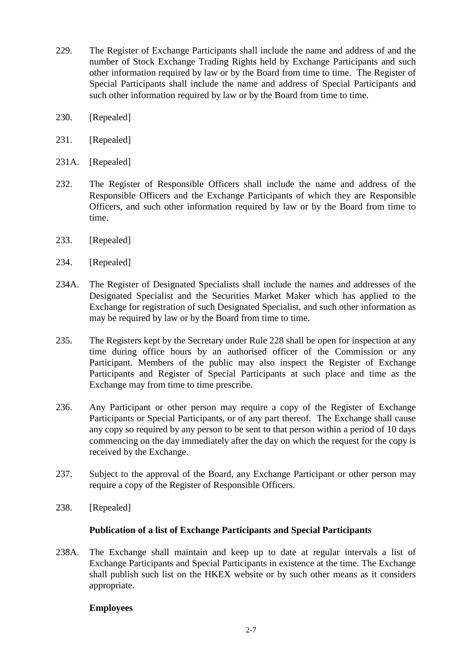- 229. The Register of Exchange Participants shall include the name and address of and the number of Stock Exchange Trading Rights held by Exchange Participants and such other information required by law or by the Board from time to time. The Register of Special Participants shall include the name and address of Special Participants and such other information required by law or by the Board from time to time.
- 230. [Repealed]
- 231. [Repealed]
- 231A. [Repealed]
- 232. The Register of Responsible Officers shall include the name and address of the Responsible Officers and the Exchange Participants of which they are Responsible Officers, and such other information required by law or by the Board from time to time.
- 233. [Repealed]
- 234. [Repealed]
- 234A. The Register of Designated Specialists shall include the names and addresses of the Designated Specialist and the Securities Market Maker which has applied to the Exchange for registration of such Designated Specialist, and such other information as may be required by law or by the Board from time to time.
- 235. The Registers kept by the Secretary under Rule 228 shall be open for inspection at any time during office hours by an authorised officer of the Commission or any Participant. Members of the public may also inspect the Register of Exchange Participants and Register of Special Participants at such place and time as the Exchange may from time to time prescribe.
- 236. Any Participant or other person may require a copy of the Register of Exchange Participants or Special Participants, or of any part thereof. The Exchange shall cause any copy so required by any person to be sent to that person within a period of 10 days commencing on the day immediately after the day on which the request for the copy is received by the Exchange.
- 237. Subject to the approval of the Board, any Exchange Participant or other person may require a copy of the Register of Responsible Officers.
- 238. [Repealed]

### **Publication of a list of Exchange Participants and Special Participants**

238A. The Exchange shall maintain and keep up to date at regular intervals a list of Exchange Participants and Special Participants in existence at the time. The Exchange shall publish such list on the HKEX website or by such other means as it considers appropriate.

### **Employees**